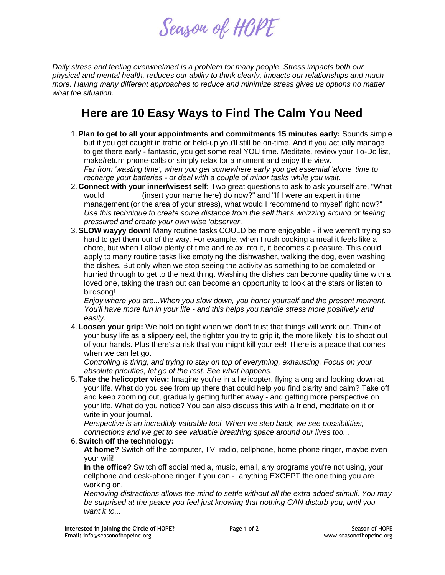

*Daily stress and feeling overwhelmed is a problem for many people. Stress impacts both our physical and mental health, reduces our ability to think clearly, impacts our relationships and much more. Having many different approaches to reduce and minimize stress gives us options no matter what the situation.*

## **Here are 10 Easy Ways to Find The Calm You Need**

- 1.**Plan to get to all your appointments and commitments 15 minutes early:** Sounds simple but if you get caught in traffic or held-up you'll still be on-time. And if you actually manage to get there early - fantastic, you get some real YOU time. Meditate, review your To-Do list, make/return phone-calls or simply relax for a moment and enjoy the view. *Far from 'wasting time', when you get somewhere early you get essential 'alone' time to recharge your batteries - or deal with a couple of minor tasks while you wait.*
- 2. **Connect with your inner/wisest self:** Two great questions to ask to ask yourself are, "What would \_\_\_\_\_\_\_\_ (insert your name here) do now?" and "If I were an expert in time management (or the area of your stress), what would I recommend to myself right now?" *Use this technique to create some distance from the self that's whizzing around or feeling pressured and create your own wise 'observer'.*
- 3.**SLOW wayyy down!** Many routine tasks COULD be more enjoyable if we weren't trying so hard to get them out of the way. For example, when I rush cooking a meal it feels like a chore, but when I allow plenty of time and relax into it, it becomes a pleasure. This could apply to many routine tasks like emptying the dishwasher, walking the dog, even washing the dishes. But only when we stop seeing the activity as something to be completed or hurried through to get to the next thing. Washing the dishes can become quality time with a loved one, taking the trash out can become an opportunity to look at the stars or listen to birdsong!

*Enjoy where you are...When you slow down, you honor yourself and the present moment. You'll have more fun in your life - and this helps you handle stress more positively and easily.*

4. **Loosen your grip:** We hold on tight when we don't trust that things will work out. Think of your busy life as a slippery eel, the tighter you try to grip it, the more likely it is to shoot out of your hands. Plus there's a risk that you might kill your eel! There is a peace that comes when we can let go.

*Controlling is tiring, and trying to stay on top of everything, exhausting. Focus on your absolute priorities, let go of the rest. See what happens.*

5. **Take the helicopter view:** Imagine you're in a helicopter, flying along and looking down at your life. What do you see from up there that could help you find clarity and calm? Take off and keep zooming out, gradually getting further away - and getting more perspective on your life. What do you notice? You can also discuss this with a friend, meditate on it or write in your journal.

*Perspective is an incredibly valuable tool. When we step back, we see possibilities, connections and we get to see valuable breathing space around our lives too...*

## 6.**Switch off the technology:**

**At home?** Switch off the computer, TV, radio, cellphone, home phone ringer, maybe even your wifi!

**In the office?** Switch off social media, music, email, any programs you're not using, your cellphone and desk-phone ringer if you can - anything EXCEPT the one thing you are working on.

*Removing distractions allows the mind to settle without all the extra added stimuli. You may be surprised at the peace you feel just knowing that nothing CAN disturb you, until you want it to...*